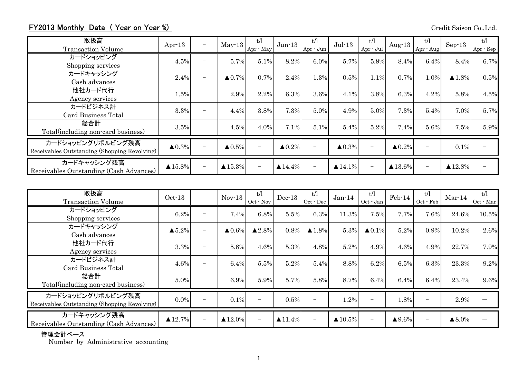## FY2013 Monthly Data (Year on Year %) Credit Saison Co.,Ltd.

| 取扱高<br><b>Transaction Volume</b>                                  | Apr $-13$          | $\overline{\phantom{0}}$ | $May-13$               | t/l<br>Apr · May | $Jun-13$               | t/l<br>Apr - Jun         | $Jul-13$               | t/l<br>Apr - Jul         | Aug- $13$              | t/l<br>Apr - Aug         | $Sep-13$               | t/l<br>Apr - Sep |
|-------------------------------------------------------------------|--------------------|--------------------------|------------------------|------------------|------------------------|--------------------------|------------------------|--------------------------|------------------------|--------------------------|------------------------|------------------|
| カードショッピング<br>Shopping services                                    | 4.5%               | $\sim$                   | 5.7%                   | 5.1%             | 8.2%                   | 6.0%                     | 5.7%                   | 5.9%                     | 8.4%                   | 6.4%                     | 8.4%                   | 6.7%             |
| カードキャッシング<br>Cash advances                                        | 2.4%               | $\overline{\phantom{0}}$ | $\triangle 0.7\%$      | 0.7%             | 2.4%                   | 1.3%                     | 0.5%                   | 1.1%                     | 0.7%                   | 1.0%                     | $\blacktriangle$ 1.8%  | 0.5%             |
| 他社カード代行<br>Agency services                                        | 1.5%               | $\overline{\phantom{0}}$ | 2.9%                   | 2.2%             | 6.3%                   | 3.6%                     | 4.1%                   | 3.8%                     | 6.3%                   | 4.2%                     | 5.8%                   | 4.5%             |
| カードビジネス計<br>Card Business Total                                   | 3.3%               | -                        | 4.4%                   | 3.8%             | 7.3%                   | 5.0%                     | 4.9%                   | 5.0%                     | 7.3%                   | 5.4%                     | 7.0%                   | 5.7%             |
| 総合計<br>Total (including non-card business)                        | 3.5%               | $\overline{\phantom{0}}$ | 4.5%                   | 4.0%             | 7.1%                   | 5.1%                     | 5.4%                   | 5.2%                     | 7.4%                   | 5.6%                     | 7.5%                   | 5.9%             |
| カードショッピングリボルビング残高<br>Receivables Outstanding (Shopping Revolving) | $\triangle 0.3\%$  | $\overline{\phantom{0}}$ | $\blacktriangle 0.5\%$ |                  | $\blacktriangle 0.2\%$ | $\overline{\phantom{0}}$ | $\blacktriangle 0.3\%$ |                          | $\blacktriangle 0.2\%$ | $\overline{\phantom{m}}$ | 0.1%                   |                  |
| カードキャッシング残高<br>Receivables Outstanding (Cash Advances)            | $\triangle 15.8\%$ | $\overline{\phantom{0}}$ | $\triangle 15.3\%$     |                  | $\triangle$ 14.4%      | $\overline{\phantom{m}}$ | $\blacktriangle$ 14.1% | $\overline{\phantom{m}}$ | $\triangle 13.6\%$     | $\qquad \qquad -$        | $\blacktriangle$ 12.8% |                  |

| 取扱高<br><b>Transaction Volume</b>                                  | $Oct-13$               | $\overline{\phantom{0}}$ | $Nov-13$           | t/l<br>$Oct$ $\cdot$ Nov | $Dec-13$               | t/1<br>$Oct - Dec$       | $Jan-14$               | t/l<br>Oct - Jan         | $Feb-14$               | t/1<br>Oct - Feb         | $Mar-14$          | t/l<br>Oct - Mar |
|-------------------------------------------------------------------|------------------------|--------------------------|--------------------|--------------------------|------------------------|--------------------------|------------------------|--------------------------|------------------------|--------------------------|-------------------|------------------|
| カードショッピング<br>Shopping services                                    | 6.2%                   | $\overline{\phantom{m}}$ | 7.4%               | 6.8%                     | 5.5%                   | 6.3%                     | 11.3%                  | 7.5%                     | 7.7%                   | 7.6%                     | 24.6%             | 10.5%            |
| カードキャッシング<br>Cash advances                                        | $\blacktriangle 5.2\%$ | $\overline{\phantom{0}}$ | $\triangle 0.6\%$  | $\blacktriangle 2.8\%$   | 0.8%                   | $\blacktriangle$ 1.8%    | 5.3%                   | $\triangle 0.1\%$        | 5.2%                   | 0.9%                     | 10.2%             | 2.6%             |
| 他社カード代行<br>Agency services                                        | 3.3%                   | $\overline{\phantom{0}}$ | 5.8%               | 4.6%                     | 5.3%                   | 4.8%                     | 5.2%                   | 4.9%                     | 4.6%                   | 4.9%                     | 22.7%             | 7.9%             |
| カードビジネス計<br>Card Business Total                                   | 4.6%                   | ۰                        | 6.4%               | 5.5%                     | 5.2%                   | 5.4%                     | 8.8%                   | 6.2%                     | 6.5%                   | 6.3%                     | 23.3%             | 9.2%             |
| 総合計<br>Total (including non-card business)                        | 5.0%                   | ۰                        | 6.9%               | 5.9%                     | 5.7%                   | 5.8%                     | 8.7%                   | 6.4%                     | 6.4%                   | 6.4%                     | 23.4%             | 9.6%             |
| カードショッピングリボルビング残高<br>Receivables Outstanding (Shopping Revolving) | $0.0\%$                |                          | $0.1\%$            |                          | 0.5%                   | $\overline{\phantom{0}}$ | 1.2%                   |                          | 1.8%                   | $\qquad \qquad -$        | 2.9%              |                  |
| カードキャッシング残高<br>Receivables Outstanding (Cash Advances)            | $\triangle 12.7\%$     | $\overline{\phantom{0}}$ | $\triangle 12.0\%$ |                          | $\blacktriangle$ 11.4% | $\overline{\phantom{m}}$ | $\blacktriangle$ 10.5% | $\overline{\phantom{m}}$ | $\blacktriangle 9.6\%$ | $\overline{\phantom{0}}$ | $\triangle 8.0\%$ |                  |

管理会計ベース

Number by Administrative accounting